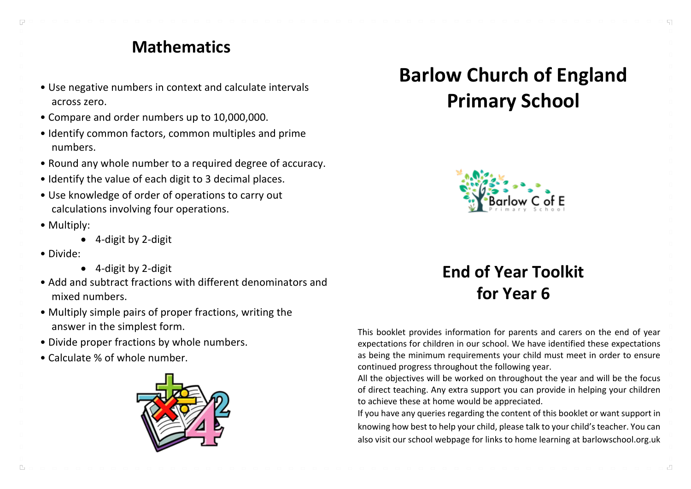#### **Mathematics**

- Use negative numbers in context and calculate intervals across zero.
- Compare and order numbers up to 10,000,000.
- Identify common factors, common multiples and prime numbers.
- Round any whole number to a required degree of accuracy.
- Identify the value of each digit to 3 decimal places.
- Use knowledge of order of operations to carry out calculations involving four operations.
- Multiply:
	- 4-digit by 2-digit
- Divide:

 $\Gamma_{\rm B}$ 

- 4-digit by 2-digit
- Add and subtract fractions with different denominators and mixed numbers.
- Multiply simple pairs of proper fractions, writing the answer in the simplest form.
- Divide proper fractions by whole numbers.
- Calculate % of whole number.



# **Barlow Church of England Primary School**



## **End of Year Toolkit for Year 6**

This booklet provides information for parents and carers on the end of year expectations for children in our school. We have identified these expectations as being the minimum requirements your child must meet in order to ensure continued progress throughout the following year.

All the objectives will be worked on throughout the year and will be the focus of direct teaching. Any extra support you can provide in helping your children to achieve these at home would be appreciated.

If you have any queries regarding the content of this booklet or want support in knowing how best to help your child, please talk to your child's teacher. You can also visit our school webpage for links to home learning at barlowschool.org.uk